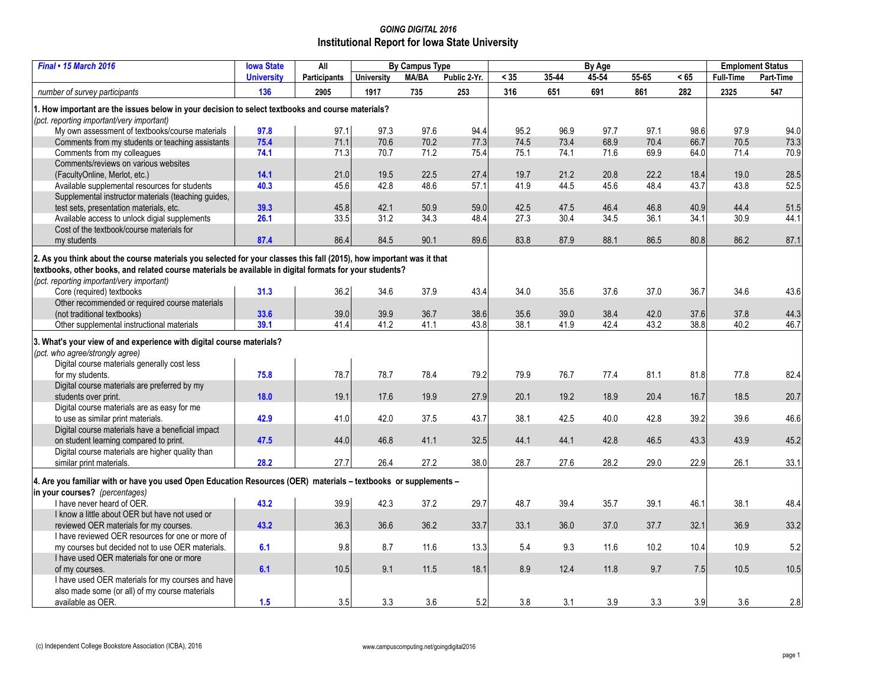## *GOING DIGITAL 2016* **Institutional Report for Iowa State University**

| <b>Final • 15 March 2016</b>                                                                                         | <b>Iowa State</b> | All                 | <b>By Campus Type</b> |              |              | By Age          |       |       |       |      | <b>Emploment Status</b> |           |
|----------------------------------------------------------------------------------------------------------------------|-------------------|---------------------|-----------------------|--------------|--------------|-----------------|-------|-------|-------|------|-------------------------|-----------|
|                                                                                                                      | <b>University</b> | <b>Participants</b> | <b>University</b>     | <b>MA/BA</b> | Public 2-Yr. | $\overline{35}$ | 35-44 | 45-54 | 55-65 | < 65 | <b>Full-Time</b>        | Part-Time |
| number of survey participants                                                                                        | 136               | 2905                | 1917                  | 735          | 253          | 316             | 651   | 691   | 861   | 282  | 2325                    | 547       |
| 1. How important are the issues below in your decision to select textbooks and course materials?                     |                   |                     |                       |              |              |                 |       |       |       |      |                         |           |
| (pct. reporting important/very important)                                                                            |                   |                     |                       |              |              |                 |       |       |       |      |                         |           |
| My own assessment of textbooks/course materials                                                                      | 97.8              | 97.1                | 97.3                  | 97.6         | 94.4         | 95.2            | 96.9  | 97.7  | 97.1  | 98.6 | 97.9                    | 94.0      |
| Comments from my students or teaching assistants                                                                     | 75.4              | 71.1                | 70.6                  | 70.2         | 77.3         | 74.5            | 73.4  | 68.9  | 70.4  | 66.7 | 70.5                    | 73.3      |
| Comments from my colleagues                                                                                          | 74.1              | 71.3                | 70.7                  | 71.2         | 75.4         | 75.1            | 74.1  | 71.6  | 69.9  | 64.0 | 71.4                    | 70.9      |
| Comments/reviews on various websites                                                                                 |                   |                     |                       |              |              |                 |       |       |       |      |                         |           |
| (FacultyOnline, Merlot, etc.)                                                                                        | 14.1              | 21.0                | 19.5                  | 22.5         | 27.4         | 19.7            | 21.2  | 20.8  | 22.2  | 18.4 | 19.0                    | 28.5      |
| Available supplemental resources for students                                                                        | 40.3              | 45.6                | 42.8                  | 48.6         | 57.1         | 41.9            | 44.5  | 45.6  | 48.4  | 43.7 | 43.8                    | 52.5      |
| Supplemental instructor materials (teaching quides,                                                                  |                   |                     |                       |              |              |                 |       |       |       |      |                         |           |
| test sets, presentation materials, etc.                                                                              | 39.3              | 45.8                | 42.1                  | 50.9         | 59.0         | 42.5            | 47.5  | 46.4  | 46.8  | 40.9 | 44.4                    | 51.5      |
| Available access to unlock digial supplements                                                                        | 26.1              | 33.5                | 31.2                  | 34.3         | 48.4         | 27.3            | 30.4  | 34.5  | 36.1  | 34.1 | 30.9                    | 44.1      |
| Cost of the textbook/course materials for                                                                            |                   |                     |                       |              |              |                 |       |       |       |      |                         |           |
| my students                                                                                                          | 87.4              | 86.4                | 84.5                  | 90.1         | 89.6         | 83.8            | 87.9  | 88.1  | 86.5  | 80.8 | 86.2                    | 87.1      |
|                                                                                                                      |                   |                     |                       |              |              |                 |       |       |       |      |                         |           |
| 2. As you think about the course materials you selected for your classes this fall (2015), how important was it that |                   |                     |                       |              |              |                 |       |       |       |      |                         |           |
| textbooks, other books, and related course materials be available in digital formats for your students?              |                   |                     |                       |              |              |                 |       |       |       |      |                         |           |
| (pct. reporting important/very important)                                                                            |                   |                     |                       |              |              |                 |       |       |       |      |                         |           |
| Core (required) textbooks                                                                                            | 31.3              | 36.2                | 34.6                  | 37.9         | 43.4         | 34.0            | 35.6  | 37.6  | 37.0  | 36.7 | 34.6                    | 43.6      |
| Other recommended or required course materials                                                                       |                   |                     |                       |              |              |                 |       |       |       |      |                         |           |
| (not traditional textbooks)                                                                                          | 33.6              | 39.0                | 39.9                  | 36.7         | 38.6         | 35.6            | 39.0  | 38.4  | 42.0  | 37.6 | 37.8                    | 44.3      |
| Other supplemental instructional materials                                                                           | 39.1              | 41.4                | 41.2                  | 41.1         | 43.8         | 38.1            | 41.9  | 42.4  | 43.2  | 38.8 | 40.2                    | 46.7      |
|                                                                                                                      |                   |                     |                       |              |              |                 |       |       |       |      |                         |           |
| 3. What's your view of and experience with digital course materials?                                                 |                   |                     |                       |              |              |                 |       |       |       |      |                         |           |
| (pct. who agree/strongly agree)                                                                                      |                   |                     |                       |              |              |                 |       |       |       |      |                         |           |
| Digital course materials generally cost less                                                                         |                   |                     |                       |              |              |                 |       |       |       |      |                         |           |
| for my students.                                                                                                     | 75.8              | 78.7                | 78.7                  | 78.4         | 79.2         | 79.9            | 76.7  | 77.4  | 81.1  | 81.8 | 77.8                    | 82.4      |
| Digital course materials are preferred by my                                                                         |                   |                     |                       |              |              |                 |       |       |       |      |                         |           |
| students over print.                                                                                                 | 18.0              | 19.1                | 17.6                  | 19.9         | 27.9         | 20.1            | 19.2  | 18.9  | 20.4  | 16.7 | 18.5                    | 20.7      |
| Digital course materials are as easy for me                                                                          |                   |                     |                       |              |              |                 |       |       |       |      |                         |           |
| to use as similar print materials.                                                                                   | 42.9              | 41.0                | 42.0                  | 37.5         | 43.7         | 38.1            | 42.5  | 40.0  | 42.8  | 39.2 | 39.6                    | 46.6      |
| Digital course materials have a beneficial impact                                                                    |                   |                     |                       |              |              |                 |       |       |       |      |                         |           |
| on student learning compared to print.                                                                               | 47.5              | 44.0                | 46.8                  | 41.1         | 32.5         | 44.1            | 44.1  | 42.8  | 46.5  | 43.3 | 43.9                    | 45.2      |
| Digital course materials are higher quality than                                                                     |                   |                     |                       |              |              |                 |       |       |       |      |                         |           |
| similar print materials.                                                                                             | 28.2              | 27.7                | 26.4                  | 27.2         | 38.0         | 28.7            | 27.6  | 28.2  | 29.0  | 22.9 | 26.1                    | 33.1      |
|                                                                                                                      |                   |                     |                       |              |              |                 |       |       |       |      |                         |           |
| 4. Are you familiar with or have you used Open Education Resources (OER) materials - textbooks or supplements -      |                   |                     |                       |              |              |                 |       |       |       |      |                         |           |
| in your courses? (percentages)                                                                                       |                   |                     |                       |              |              |                 |       |       |       |      |                         |           |
| I have never heard of OER.                                                                                           | 43.2              | 39.9                | 42.3                  | 37.2         | 29.7         | 48.7            | 39.4  | 35.7  | 39.1  | 46.1 | 38.1                    | 48.4      |
| I know a little about OER but have not used or                                                                       |                   |                     |                       |              |              |                 |       |       |       |      |                         |           |
| reviewed OER materials for my courses.                                                                               | 43.2              | 36.3                | 36.6                  | 36.2         | 33.7         | 33.1            | 36.0  | 37.0  | 37.7  | 32.1 | 36.9                    | 33.2      |
| I have reviewed OER resources for one or more of                                                                     |                   |                     |                       |              |              |                 |       |       |       |      |                         |           |
| my courses but decided not to use OER materials.                                                                     | 6.1               | 9.8                 | 8.7                   | 11.6         | 13.3         | 5.4             | 9.3   | 11.6  | 10.2  | 10.4 | 10.9                    | 5.2       |
| I have used OER materials for one or more                                                                            |                   |                     |                       |              |              |                 |       |       |       |      |                         |           |
| of my courses.                                                                                                       | 6.1               | 10.5                | 9.1                   | 11.5         | 18.1         | 8.9             | 12.4  | 11.8  | 9.7   | 7.5  | 10.5                    | 10.5      |
| I have used OER materials for my courses and have                                                                    |                   |                     |                       |              |              |                 |       |       |       |      |                         |           |
| also made some (or all) of my course materials                                                                       |                   |                     |                       |              |              |                 |       |       |       |      |                         |           |
| available as OER.                                                                                                    | 1.5               | 3.5                 | 3.3                   | 3.6          | 5.2          | 3.8             | 3.1   | 3.9   | 3.3   | 3.9  | 3.6                     | 2.8       |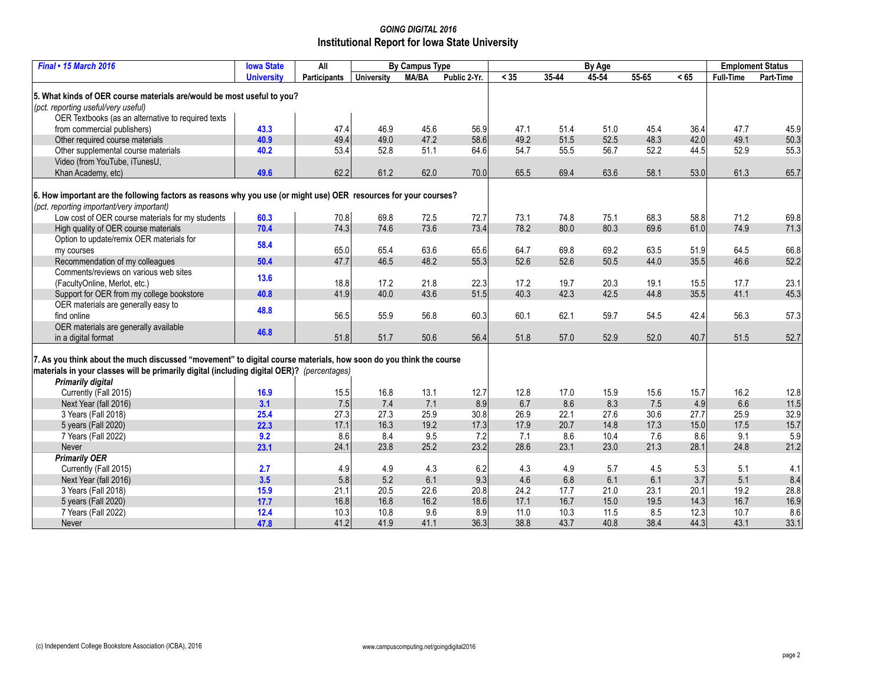## *GOING DIGITAL 2016* **Institutional Report for Iowa State University**

| Final . 15 March 2016                                                                                             | <b>Iowa State</b> | All          | <b>By Campus Type</b> |              |              | By Age |           |       |           |      | <b>Emploment Status</b> |           |
|-------------------------------------------------------------------------------------------------------------------|-------------------|--------------|-----------------------|--------------|--------------|--------|-----------|-------|-----------|------|-------------------------|-----------|
|                                                                                                                   | <b>University</b> | Participants | <b>University</b>     | <b>MA/BA</b> | Public 2-Yr. | < 35   | $35 - 44$ | 45-54 | $55 - 65$ | < 65 | <b>Full-Time</b>        | Part-Time |
|                                                                                                                   |                   |              |                       |              |              |        |           |       |           |      |                         |           |
| 5. What kinds of OER course materials are/would be most useful to you?                                            |                   |              |                       |              |              |        |           |       |           |      |                         |           |
| (pct. reporting useful/very useful)                                                                               |                   |              |                       |              |              |        |           |       |           |      |                         |           |
| OER Textbooks (as an alternative to required texts                                                                |                   |              |                       |              |              |        |           |       |           |      |                         |           |
| from commercial publishers)                                                                                       | 43.3              | 47.4         | 46.9                  | 45.6         | 56.9         | 47.1   | 51.4      | 51.0  | 45.4      | 36.4 | 47.7                    | 45.9      |
| Other required course materials                                                                                   | 40.9              | 49.4         | 49.0                  | 47.2         | 58.6         | 49.2   | 51.5      | 52.5  | 48.3      | 42.0 | 49.1                    | 50.3      |
| Other supplemental course materials                                                                               | 40.2              | 53.4         | 52.8                  | 51.1         | 64.6         | 54.7   | 55.5      | 56.7  | 52.2      | 44.5 | 52.9                    | 55.3      |
| Video (from YouTube, iTunesU,                                                                                     |                   |              |                       |              |              |        |           |       |           |      |                         |           |
| Khan Academy, etc)                                                                                                | 49.6              | 62.2         | 61.2                  | 62.0         | 70.0         | 65.5   | 69.4      | 63.6  | 58.1      | 53.0 | 61.3                    | 65.7      |
|                                                                                                                   |                   |              |                       |              |              |        |           |       |           |      |                         |           |
| 6. How important are the following factors as reasons why you use (or might use) OER resources for your courses?  |                   |              |                       |              |              |        |           |       |           |      |                         |           |
| (pct. reporting important/very important)                                                                         |                   |              |                       |              |              |        |           |       |           |      |                         |           |
| Low cost of OER course materials for my students                                                                  | 60.3              | 70.8         | 69.8                  | 72.5         | 72.7         | 73.1   | 74.8      | 75.1  | 68.3      | 58.8 | 71.2                    | 69.8      |
| High quality of OER course materials                                                                              | 70.4              | 74.3         | 74.6                  | 73.6         | 73.4         | 78.2   | 80.0      | 80.3  | 69.6      | 61.0 | 74.9                    | 71.3      |
| Option to update/remix OER materials for                                                                          | 58.4              |              |                       |              |              |        |           |       |           |      |                         |           |
| my courses                                                                                                        |                   | 65.0         | 65.4                  | 63.6         | 65.6         | 64.7   | 69.8      | 69.2  | 63.5      | 51.9 | 64.5                    | 66.8      |
| Recommendation of my colleagues                                                                                   | 50.4              | 47.7         | 46.5                  | 48.2         | 55.3         | 52.6   | 52.6      | 50.5  | 44.0      | 35.5 | 46.6                    | 52.2      |
| Comments/reviews on various web sites                                                                             | 13.6              |              |                       |              |              |        |           |       |           |      |                         |           |
| (FacultyOnline, Merlot, etc.)                                                                                     |                   | 18.8         | 17.2                  | 21.8         | 22.3         | 17.2   | 19.7      | 20.3  | 19.1      | 15.5 | 17.7                    | 23.1      |
| Support for OER from my college bookstore                                                                         | 40.8              | 41.9         | 40.0                  | 43.6         | 51.5         | 40.3   | 42.3      | 42.5  | 44.8      | 35.5 | 41.1                    | 45.3      |
| OER materials are generally easy to                                                                               | 48.8              |              |                       |              |              |        |           |       |           |      |                         |           |
| find online                                                                                                       |                   | 56.5         | 55.9                  | 56.8         | 60.3         | 60.1   | 62.1      | 59.7  | 54.5      | 42.4 | 56.3                    | 57.3      |
| OER materials are generally available                                                                             | 46.8              |              |                       |              |              |        |           |       |           |      |                         |           |
| in a digital format                                                                                               |                   | 51.8         | 51.7                  | 50.6         | 56.4         | 51.8   | 57.0      | 52.9  | 52.0      | 40.7 | 51.5                    | 52.7      |
|                                                                                                                   |                   |              |                       |              |              |        |           |       |           |      |                         |           |
| 7. As you think about the much discussed "movement" to digital course materials, how soon do you think the course |                   |              |                       |              |              |        |           |       |           |      |                         |           |
| materials in your classes will be primarily digital (including digital OER)? (percentages)                        |                   |              |                       |              |              |        |           |       |           |      |                         |           |
| <b>Primarily digital</b>                                                                                          |                   |              | 16.8                  |              |              |        |           |       |           |      | 16.2                    |           |
| Currently (Fall 2015)                                                                                             | 16.9              | 15.5         |                       | 13.1         | 12.7         | 12.8   | 17.0      | 15.9  | 15.6      | 15.7 |                         | 12.8      |
| Next Year (fall 2016)                                                                                             | 3.1               | 7.5          | 7.4                   | 7.1          | 8.9          | 6.7    | 8.6       | 8.3   | 7.5       | 4.9  | 6.6                     | 11.5      |
| 3 Years (Fall 2018)                                                                                               | 25.4              | 27.3         | 27.3                  | 25.9         | 30.8         | 26.9   | 22.1      | 27.6  | 30.6      | 27.7 | 25.9                    | 32.9      |
| 5 years (Fall 2020)                                                                                               | 22.3              | 17.1         | 16.3                  | 19.2         | 17.3         | 17.9   | 20.7      | 14.8  | 17.3      | 15.0 | 17.5                    | 15.7      |
| 7 Years (Fall 2022)                                                                                               | 9.2               | 8.6          | 8.4                   | 9.5          | 7.2          | 7.1    | 8.6       | 10.4  | 7.6       | 8.6  | 9.1                     | 5.9       |
| Never                                                                                                             | 23.1              | 24.1         | 23.8                  | 25.2         | 23.2         | 28.6   | 23.1      | 23.0  | 21.3      | 28.1 | 24.8                    | 21.2      |
| <b>Primarily OER</b>                                                                                              |                   |              |                       |              |              |        |           |       |           |      |                         |           |
| Currently (Fall 2015)                                                                                             | 2.7               | 4.9          | 4.9                   | 4.3          | 6.2          | 4.3    | 4.9       | 5.7   | 4.5       | 5.3  | 5.1                     | 4.1       |
| Next Year (fall 2016)                                                                                             | 3.5               | 5.8          | 5.2                   | 6.1          | 9.3          | 4.6    | 6.8       | 6.1   | 6.1       | 3.7  | 5.1                     | 8.4       |
| 3 Years (Fall 2018)                                                                                               | 15.9              | 21.1         | 20.5                  | 22.6         | 20.8         | 24.2   | 17.7      | 21.0  | 23.1      | 20.1 | 19.2                    | 28.8      |
| 5 years (Fall 2020)                                                                                               | 17.7              | 16.8         | 16.8                  | 16.2         | 18.6         | 17.1   | 16.7      | 15.0  | 19.5      | 14.3 | 16.7                    | 16.9      |
| 7 Years (Fall 2022)                                                                                               | 12.4              | 10.3         | 10.8                  | 9.6          | 8.9          | 11.0   | 10.3      | 11.5  | 8.5       | 12.3 | 10.7                    | 8.6       |
| Never                                                                                                             | 47.8              | 41.2         | 41.9                  | 41.1         | 36.3         | 38.8   | 43.7      | 40.8  | 38.4      | 44.3 | 43.1                    | 33.1      |